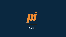

#### Roundtables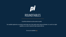# **DI** ROUNDTABLES

At portfolio institutional we pride ourselves on quality.

Our roundtable supplements are considered market leaders due to their quality content, design and attendees. As a result of our digital capabilities, we are able to replicate this high-standard online too.

See our past roundtables [here](https://www.portfolio-institutional.co.uk/roundtables/)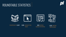### ROUNDTABLE STATISTICS









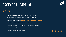## PACKAGE 1 - VIRTUAL



#### INCLUDES:

- Meet and engage in a discussion with asset owners, investment consultants and trustees, virtually
- Have your say by providing us with your discussion points, which will be considered by our editor
- The sponsor's comments along with photos will **appear within the digital and print issue of the magazine**
- A sponsor logo, attendee photograph and short bio will also be featured
- The roundtable video will be circulated on our weekly newsletter as well as on our social media platforms
- You will receive the link to the video
- 

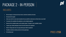## PACKAGE 2 - IN-PERSON



#### INCLUDES:

- Meet and engage in a discussion with asset owners, investment consultants and trustees
- Have input into the agenda
- Send us your wish list of asset owners/consultants that you would like to attend and we will invite them on your behalf
- A transcript of the roundtable will be published as a print and digital supplement
- Network with the roundtable speakers and the audience (approx. 10 people) at a post-roundtable reception
- A sponsor logo, attendee photograph and short bio will be featured in the supplement
- Receive 1 full page advert and a two-page position paper within the supplement
- Possibility to distribute marketing material on the day (goody bags)
- 

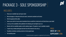## PACKAGE 3 - SOLE SPONSORSHIP

### INCLUDES:

- Choose your roundtable topic and target market
- Meet and engage in a discussion with asset owners, investment consultants and trustees
- $\bullet$  Write the agenda with the editor
- Send us your wish list of asset owners/consultants that you would like to attend and we will invite them on your behalf
- $\bullet$  A write up of the roundtable will be published in the following print and digital issue of pi
- Network with the roundtable speakers and the audience (approx. 10 people) at a post-roundtable reception
- A sponsor logo, attendee photograph and short bio will be featured in the write up
- Possibility to distribute marketing material on the day (goody bags)
- Full marketing report

You have the option to upgrade to a supplement from the write up

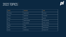### 2022 TOPICS



| <b>MONTH</b>           | <b>PUBLISHED</b>     | <b>TOPIC</b>                |
|------------------------|----------------------|-----------------------------|
| 22nd February          | Supplement March     | <b>Fixed Income</b>         |
| 30 <sup>th</sup> March | Supplement May       | Private Markets             |
| 28th April             | Supplement June      | Bonds/ESG                   |
| 21st June              | Supplement September | <b>Emerging Market Debt</b> |
| 6 <sup>th</sup> July   | Write up September   | ESG Club - Conference       |
| September              | October              | Responsible Investing       |
| October                | November             | <b>Defined Contribution</b> |
| November               | December/January     | Preparing for 2023          |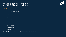### OTHER POSSIBLE TOPICS

#### INCLUDE:

- Advisory and institutional investment
- Endgame
- Stewardship
- Direct lending
- Private credit
- Property
- LGPS
- Preparing for buyout
- Diversity & Inclusion
- Alternatives

**Get in touch if there is another topic that you would also like to discuss.**